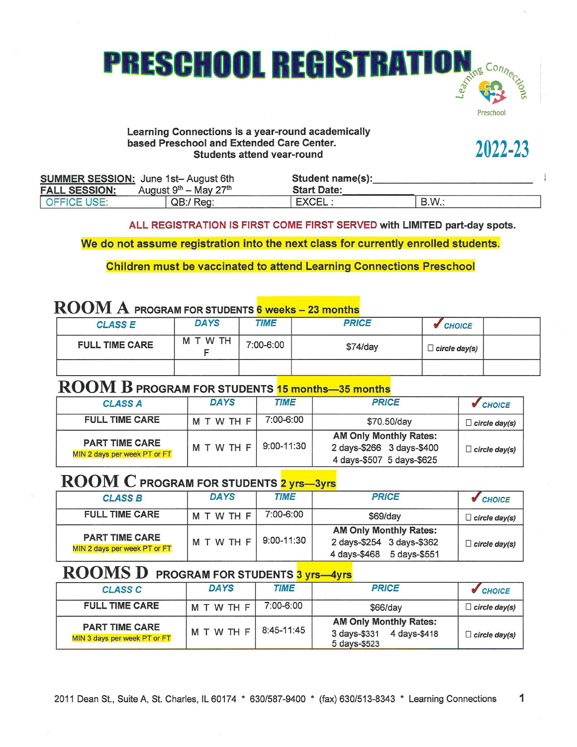# **PRESCHOOL REGISTRATION**

#### Learning Connections is a year-round academically based Preschool and Extended Care Center. Students attend vear-round

2022-23

reschoo

|                      | <b>SUMMER SESSION: June 1st-August 6th</b> | Student name(s):   |            |  |
|----------------------|--------------------------------------------|--------------------|------------|--|
| <b>FALL SESSION:</b> | August $9th$ – May 27 <sup>th</sup>        | <b>Start Date:</b> |            |  |
| LOFFICE USE:         | QB:/ Reg:                                  | <b>EXCEL</b>       | <b>B.W</b> |  |

ALL REGISTRATION IS FIRST COME FIRST SERVED with LIMITED part-day spots.

We do not assume registration into the next class for currently enrolled students.

**Children must be vaccinated to attend Learning Connections Preschool** 

# **ROOM A PROGRAM FOR STUDENTS 6 weeks - 23 months**

| <b>CLASS E</b>        | <b>DAYS</b> | <b>TIME</b> | <b>PRICE</b> | <b>CHOICE</b>        |  |
|-----------------------|-------------|-------------|--------------|----------------------|--|
| <b>FULL TIME CARE</b> | M T W TH    | 7:00-6:00   | $$74$ /day   | $\Box$ circle day(s) |  |
|                       |             |             |              |                      |  |

# **ROOM B PROGRAM FOR STUDENTS 15 months-35 months**

| <b>CLASS A</b>                                        | <b>DAYS</b> | <b>TIME</b>    | <b>PRICE</b>                                                                            | $\sqrt{C}$ CHOICE       |
|-------------------------------------------------------|-------------|----------------|-----------------------------------------------------------------------------------------|-------------------------|
| <b>FULL TIME CARE</b>                                 | MTWTHF      | 7:00-6:00      | \$70.50/day                                                                             | $\Box$ circle day(s)    |
| <b>PART TIME CARE</b><br>MIN 2 days per week PT or FT | MTWTHF      | $9:00 - 11:30$ | <b>AM Only Monthly Rates:</b><br>2 days-\$266 3 days-\$400<br>4 days-\$507 5 days-\$625 | $\exists$ circle day(s) |

## **ROOM C PROGRAM FOR STUDENTS 2 yrs-3yrs**

| <b>CLASS B</b>                                        | <b>DAYS</b> | <b>TIME</b> | <b>PRICE</b>                                                                               | <b>CHOICE</b>        |
|-------------------------------------------------------|-------------|-------------|--------------------------------------------------------------------------------------------|----------------------|
| <b>FULL TIME CARE</b>                                 | M T W TH F  | 7:00-6:00   | \$69/day                                                                                   | $\Box$ circle day(s) |
| <b>PART TIME CARE</b><br>MIN 2 days per week PT or FT | MTWTHF      | 9:00-11:30  | <b>AM Only Monthly Rates:</b><br>2 days-\$254 3 days-\$362<br>4 days-\$468<br>5 days-\$551 | $\Box$ circle day(s) |

## **ROOMS D** PROGRAM FOR STUDENTS 3 yrs—4yrs

| <b>CLASS C</b>                                        | <b>DAYS</b>   | <b>TIME</b> | <b>PRICE</b>                                                                  | CHOICE <sup></sup>      |
|-------------------------------------------------------|---------------|-------------|-------------------------------------------------------------------------------|-------------------------|
| <b>FULL TIME CARE</b>                                 | <b>MTWTHF</b> | 7:00-6:00   | \$66/day                                                                      | $\exists$ circle day(s) |
| <b>PART TIME CARE</b><br>MIN 3 days per week PT or FT | M T W TH F    | 8:45-11:45  | <b>AM Only Monthly Rates:</b><br>3 days-\$331<br>4 days-\$418<br>5 days-\$523 | $\exists$ circle day(s) |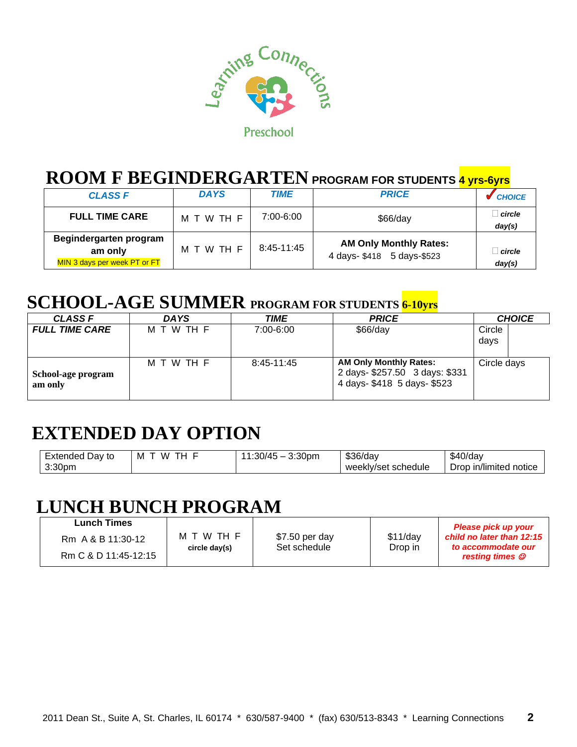

# **ROOM F BEGINDERGARTEN PROGRAM FOR STUDENTS 4 yrs-6yrs**

| <b>CLASS F</b>                                                    | <b>DAYS</b> | <b>TIME</b> | <b>PRICE</b>                                               | <b>CHOICE</b>    |
|-------------------------------------------------------------------|-------------|-------------|------------------------------------------------------------|------------------|
| <b>FULL TIME CARE</b>                                             | M T W TH F  | 7:00-6:00   | $$66$ /day                                                 | circle<br>day(s) |
| Begindergarten program<br>am only<br>MIN 3 days per week PT or FT | M T W TH F  | 8:45-11:45  | <b>AM Only Monthly Rates:</b><br>4 days-\$418 5 days-\$523 | circle<br>day(s) |

# **SCHOOL-AGE SUMMER PROGRAM FOR STUDENTS 6-10yrs**

| <b>CLASS F</b>                | DA YS      | TIME       | <b>PRICE</b>                                                                                   | <b>CHOICE</b>  |
|-------------------------------|------------|------------|------------------------------------------------------------------------------------------------|----------------|
| <b>FULL TIME CARE</b>         | M T W TH F | 7:00-6:00  | $$66$ /day                                                                                     | Circle<br>days |
| School-age program<br>am only | M T W TH F | 8:45-11:45 | <b>AM Only Monthly Rates:</b><br>2 days- \$257.50 3 days: \$331<br>4 days- \$418 5 days- \$523 | Circle days    |

# **EXTENDED DAY OPTION**

| --<br>=xtended<br>Day to | w<br>M<br>- | 3:30 <sub>pm</sub><br>74 E<br>∵∩∩.<br>ושט. ו | \$36/day               | $\sqrt{2}$<br>$$40$ /dav<br>$\cdots$ |
|--------------------------|-------------|----------------------------------------------|------------------------|--------------------------------------|
| 3:30 <sub>pn</sub>       |             |                                              | schedule<br>weekly/set | Drop<br>∍ in/limited notice          |

# **LUNCH BUNCH PROGRAM**

| <b>Lunch Times</b><br>Rm A & B 11:30-12 | M T W TH F<br>circle day(s) | \$7.50 per day<br>Set schedule | $$11$ /day<br>Drop in | Please pick up your<br>child no later than 12:15<br>to accommodate our |
|-----------------------------------------|-----------------------------|--------------------------------|-----------------------|------------------------------------------------------------------------|
| Rm C & D 11:45-12:15                    |                             |                                |                       | resting times $\mathcal O$                                             |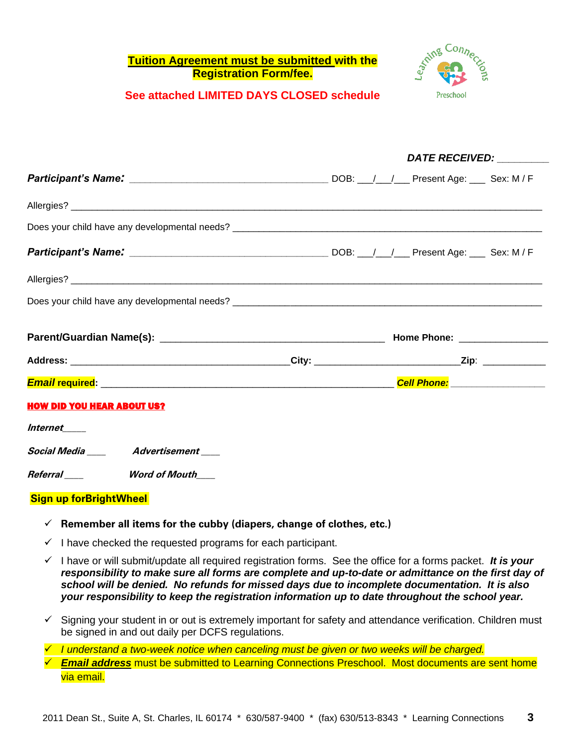#### **Tuition Agreement must be submitted with the Registration Form/fee.**



*DATE RECEIVED: \_\_\_\_\_\_\_\_\_*

#### **See attached LIMITED DAYS CLOSED schedule**

|                                         | <i>DATE RECEIVED:</i> |
|-----------------------------------------|-----------------------|
|                                         |                       |
|                                         |                       |
|                                         |                       |
|                                         |                       |
|                                         |                       |
|                                         |                       |
|                                         |                       |
|                                         |                       |
|                                         |                       |
| <b>HOW DID YOU HEAR ABOUT US?</b>       |                       |
| Internet                                |                       |
| Social Media _____ Advertisement ____   |                       |
| Referral _____________Word of Mouth____ |                       |
| <b>Sign up forBrightWheel</b>           |                       |

- ✓ **Remember all items for the cubby (diapers, change of clothes, etc.)**
- $\checkmark$  I have checked the requested programs for each participant.
- ✓ I have or will submit/update all required registration forms. See the office for a forms packet. *It is your responsibility to make sure all forms are complete and up-to-date or admittance on the first day of school will be denied. No refunds for missed days due to incomplete documentation. It is also your responsibility to keep the registration information up to date throughout the school year.*
- ✓ Signing your student in or out is extremely important for safety and attendance verification. Children must be signed in and out daily per DCFS regulations.
- ✓ *I understand a two-week notice when canceling must be given or two weeks will be charged.*
- ✓ *Email address* must be submitted to Learning Connections Preschool. Most documents are sent home via email.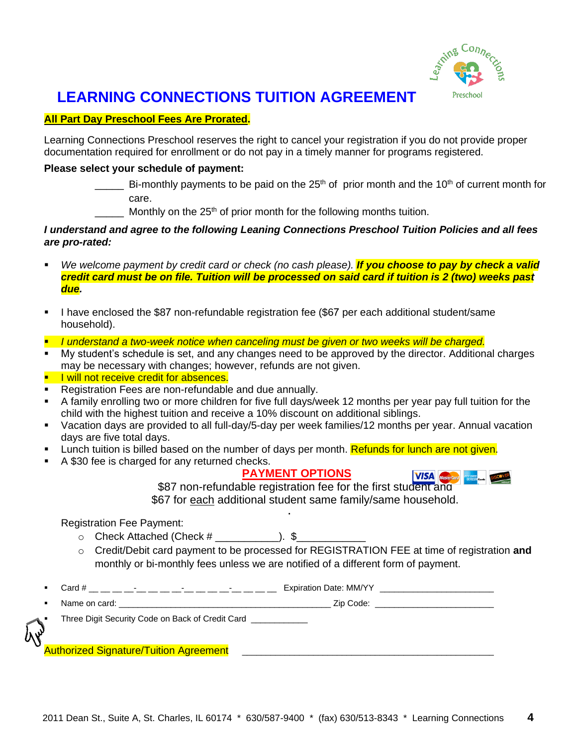

## **LEARNING CONNECTIONS TUITION AGREEMENT**

#### **All Part Day Preschool Fees Are Prorated.**

Learning Connections Preschool reserves the right to cancel your registration if you do not provide proper documentation required for enrollment or do not pay in a timely manner for programs registered.

#### **Please select your schedule of payment:**

- Bi-monthly payments to be paid on the 25<sup>th</sup> of prior month and the 10<sup>th</sup> of current month for care.
- Monthly on the  $25<sup>th</sup>$  of prior month for the following months tuition.

#### *I understand and agree to the following Leaning Connections Preschool Tuition Policies and all fees are pro-rated:*

- We welcome payment by credit card or check (no cash please). **If you choose to pay by check a valid** *credit card must be on file. Tuition will be processed on said card if tuition is 2 (two) weeks past due.*
- I have enclosed the \$87 non-refundable registration fee (\$67 per each additional student/same household).
- *I understand a two-week notice when canceling must be given or two weeks will be charged.*
- My student's schedule is set, and any changes need to be approved by the director. Additional charges may be necessary with changes; however, refunds are not given.

#### **E** I will not receive credit for absences.

- Registration Fees are non-refundable and due annually.
- A family enrolling two or more children for five full days/week 12 months per year pay full tuition for the child with the highest tuition and receive a 10% discount on additional siblings.
- Vacation days are provided to all full-day/5-day per week families/12 months per year. Annual vacation days are five total days.
- **EXECT** Lunch tuition is billed based on the number of days per month. Refunds for lunch are not given.
- A \$30 fee is charged for any returned checks.

#### **PAYMENT OPTIONS**

▪



\$87 non-refundable registration fee for the first student and \$67 for each additional student same family/same household.

Registration Fee Payment:

- $\circ$  Check Attached (Check  $\#$  ).  $\$$
- o Credit/Debit card payment to be processed for REGISTRATION FEE at time of registration **and** monthly or bi-monthly fees unless we are notified of a different form of payment.
- Card # \_\_ \_\_ \_\_ \_\_-\_\_ \_\_ \_\_ \_\_-\_\_ \_\_ \_\_ \_\_-\_\_ \_\_ \_\_ \_\_ Expiration Date: MM/YY \_\_\_\_\_\_\_\_\_\_\_\_\_\_\_\_\_\_\_\_\_\_\_\_
- Name on card: \_\_\_\_\_\_\_\_\_\_\_\_\_\_\_\_\_\_\_\_\_\_\_\_\_\_\_\_\_\_\_\_\_\_\_\_\_\_\_\_\_\_\_\_\_ Zip Code: \_\_\_\_\_\_\_\_\_\_\_\_\_\_\_\_\_\_\_\_\_\_\_\_\_

Three Digit Security Code on Back of Credit Card \_\_\_\_\_\_\_\_

Authorized Signature/Tuition Agreement \_\_\_\_\_\_\_\_\_\_\_\_\_\_\_\_\_\_\_\_\_\_\_\_\_\_\_\_\_\_\_\_\_\_\_\_\_\_\_\_\_\_\_\_\_\_\_\_\_\_\_\_\_

2011 Dean St., Suite A, St. Charles, IL 60174 \* 630/587-9400 \* (fax) 630/513-8343 \* Learning Connections **4**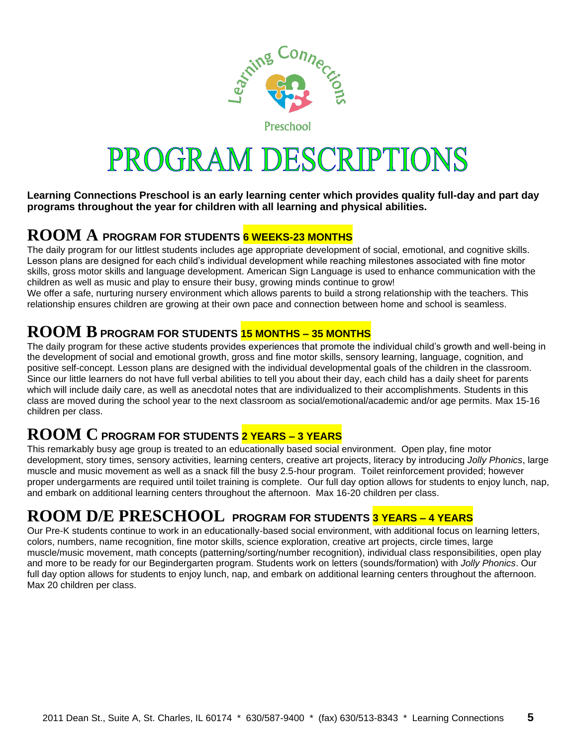

Preschool

# PROGRAM DESCRIPTIONS

**Learning Connections Preschool is an early learning center which provides quality full-day and part day programs throughout the year for children with all learning and physical abilities.** 

## **ROOM A PROGRAM FOR STUDENTS 6 WEEKS-23 MONTHS**

The daily program for our littlest students includes age appropriate development of social, emotional, and cognitive skills. Lesson plans are designed for each child's individual development while reaching milestones associated with fine motor skills, gross motor skills and language development. American Sign Language is used to enhance communication with the children as well as music and play to ensure their busy, growing minds continue to grow! We offer a safe, nurturing nursery environment which allows parents to build a strong relationship with the teachers. This

relationship ensures children are growing at their own pace and connection between home and school is seamless.

#### **ROOM BPROGRAM FOR STUDENTS 15 MONTHS – <sup>35</sup> MONTHS**

The daily program for these active students provides experiences that promote the individual child's growth and well-being in the development of social and emotional growth, gross and fine motor skills, sensory learning, language, cognition, and positive self-concept. Lesson plans are designed with the individual developmental goals of the children in the classroom. Since our little learners do not have full verbal abilities to tell you about their day, each child has a daily sheet for parents which will include daily care, as well as anecdotal notes that are individualized to their accomplishments. Students in this class are moved during the school year to the next classroom as social/emotional/academic and/or age permits. Max 15-16 children per class.

## **ROOM C PROGRAM FOR STUDENTS 2 YEARS – 3 YEARS**

This remarkably busy age group is treated to an educationally based social environment. Open play, fine motor development, story times, sensory activities, learning centers, creative art projects, literacy by introducing *Jolly Phonics*, large muscle and music movement as well as a snack fill the busy 2.5-hour program. Toilet reinforcement provided; however proper undergarments are required until toilet training is complete. Our full day option allows for students to enjoy lunch, nap, and embark on additional learning centers throughout the afternoon. Max 16-20 children per class.

## **ROOM D/E PRESCHOOL PROGRAM FOR STUDENTS 3 YEARS – 4 YEARS**

Our Pre-K students continue to work in an educationally-based social environment, with additional focus on learning letters, colors, numbers, name recognition, fine motor skills, science exploration, creative art projects, circle times, large muscle/music movement, math concepts (patterning/sorting/number recognition), individual class responsibilities, open play and more to be ready for our Begindergarten program. Students work on letters (sounds/formation) with *Jolly Phonics*. Our full day option allows for students to enjoy lunch, nap, and embark on additional learning centers throughout the afternoon. Max 20 children per class.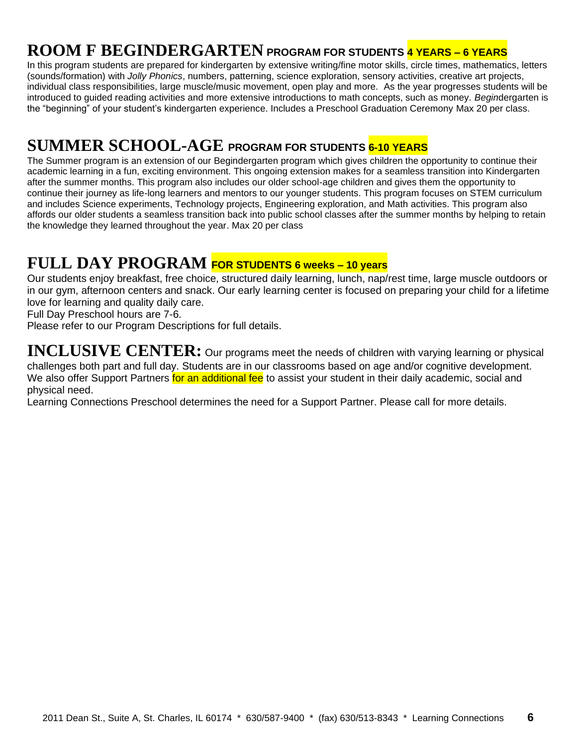## **ROOM F BEGINDERGARTEN PROGRAM FOR STUDENTS 4 YEARS – 6 YEARS**

In this program students are prepared for kindergarten by extensive writing/fine motor skills, circle times, mathematics, letters (sounds/formation) with *Jolly Phonics*, numbers, patterning, science exploration, sensory activities, creative art projects, individual class responsibilities, large muscle/music movement, open play and more. As the year progresses students will be introduced to guided reading activities and more extensive introductions to math concepts, such as money. *Begin*dergarten is the "beginning" of your student's kindergarten experience. Includes a Preschool Graduation Ceremony Max 20 per class.

## **SUMMER SCHOOL-AGE PROGRAM FOR STUDENTS 6-10 YEARS**

The Summer program is an extension of our Begindergarten program which gives children the opportunity to continue their academic learning in a fun, exciting environment. This ongoing extension makes for a seamless transition into Kindergarten after the summer months. This program also includes our older school-age children and gives them the opportunity to continue their journey as life-long learners and mentors to our younger students. This program focuses on STEM curriculum and includes Science experiments, Technology projects, Engineering exploration, and Math activities. This program also affords our older students a seamless transition back into public school classes after the summer months by helping to retain the knowledge they learned throughout the year. Max 20 per class

## **FULL DAY PROGRAM FOR STUDENTS 6 weeks – 10 years**

Our students enjoy breakfast, free choice, structured daily learning, lunch, nap/rest time, large muscle outdoors or in our gym, afternoon centers and snack. Our early learning center is focused on preparing your child for a lifetime love for learning and quality daily care.

Full Day Preschool hours are 7-6.

Please refer to our Program Descriptions for full details.

**INCLUSIVE CENTER:** Our programs meet the needs of children with varying learning or physical challenges both part and full day. Students are in our classrooms based on age and/or cognitive development. We also offer Support Partners for an additional fee to assist your student in their daily academic, social and physical need.

Learning Connections Preschool determines the need for a Support Partner. Please call for more details.